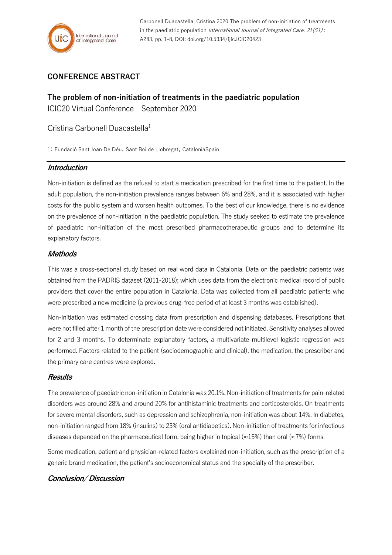

Carbonell Duacastella, Cristina 2020 The problem of non-initiation of treatments in the paediatric population International Journal of Integrated Care,  $21(S1)$ : A283, pp. 1-8, DOI: doi.org/10.5334/ijic.ICIC20423

# **CONFERENCE ABSTRACT**

**The problem of non-initiation of treatments in the paediatric population** ICIC20 Virtual Conference – September 2020

Cristina Carbonell Duacastella<sup>1</sup>

1: Fundació Sant Joan De Déu, Sant Boi de Llobregat, CataloniaSpain

## **Introduction**

Non-initiation is defined as the refusal to start a medication prescribed for the first time to the patient. In the adult population, the non-initiation prevalence ranges between 6% and 28%, and it is associated with higher costs for the public system and worsen health outcomes. To the best of our knowledge, there is no evidence on the prevalence of non-initiation in the paediatric population. The study seeked to estimate the prevalence of paediatric non-initiation of the most prescribed pharmacotherapeutic groups and to determine its explanatory factors.

## **Methods**

This was a cross-sectional study based on real word data in Catalonia. Data on the paediatric patients was obtained from the PADRIS dataset (2011-2018); which uses data from the electronic medical record of public providers that cover the entire population in Catalonia. Data was collected from all paediatric patients who were prescribed a new medicine (a previous drug-free period of at least 3 months was established).

Non-initiation was estimated crossing data from prescription and dispensing databases. Prescriptions that were not filled after 1 month of the prescription date were considered not initiated. Sensitivity analyses allowed for 2 and 3 months. To determinate explanatory factors, a multivariate multilevel logistic regression was performed. Factors related to the patient (sociodemographic and clinical), the medication, the prescriber and the primary care centres were explored.

#### **Results**

The prevalence of paediatric non-initiation in Catalonia was 20.1%. Non-initiation of treatments for pain-related disorders was around 28% and around 20% for antihistaminic treatments and corticosteroids. On treatments for severe mental disorders, such as depression and schizophrenia, non-initiation was about 14%. In diabetes, non-initiation ranged from 18% (insulins) to 23% (oral antidiabetics). Non-initiation of treatments for infectious diseases depended on the pharmaceutical form, being higher in topical ( $\approx$ 15%) than oral ( $\approx$ 7%) forms.

Some medication, patient and physician-related factors explained non-initiation, such as the prescription of a generic brand medication, the patient's socioeconomical status and the specialty of the prescriber.

# **Conclusion/ Discussion**